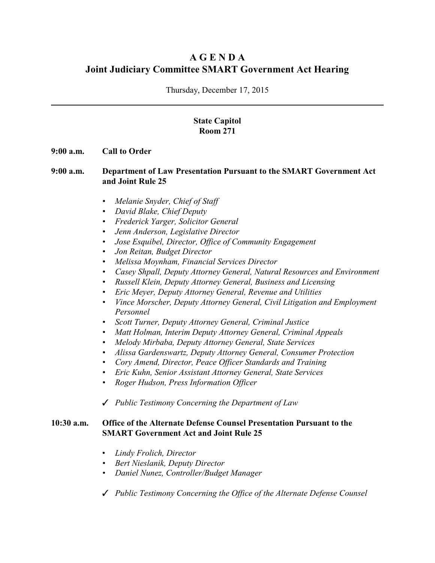# **A G E N D A Joint Judiciary Committee SMART Government Act Hearing**

Thursday, December 17, 2015

## **State Capitol Room 271**

#### **9:00 a.m. Call to Order**

#### **9:00 a.m. Department of Law Presentation Pursuant to the SMART Government Act and Joint Rule 25**

- *• Melanie Snyder, Chief of Staff*
- *• David Blake, Chief Deputy*
- *• Frederick Yarger, Solicitor General*
- *• Jenn Anderson, Legislative Director*
- *• Jose Esquibel, Director, Office of Community Engagement*
- *• Jon Reitan, Budget Director*
- *• Melissa Moynham, Financial Services Director*
- *• Casey Shpall, Deputy Attorney General, Natural Resources and Environment*
- *• Russell Klein, Deputy Attorney General, Business and Licensing*
- *• Eric Meyer, Deputy Attorney General, Revenue and Utilities*
- *• Vince Morscher, Deputy Attorney General, Civil Litigation and Employment Personnel*
- *• Scott Turner, Deputy Attorney General, Criminal Justice*
- *• Matt Holman, Interim Deputy Attorney General, Criminal Appeals*
- *• Melody Mirbaba, Deputy Attorney General, State Services*
- *• Alissa Gardenswartz, Deputy Attorney General, Consumer Protection*
- *• Cory Amend, Director, Peace Officer Standards and Training*
- *• Eric Kuhn, Senior Assistant Attorney General, State Services*
- *• Roger Hudson, Press Information Officer*

T *Public Testimony Concerning the Department of Law*

#### **10:30 a.m. Office of the Alternate Defense Counsel Presentation Pursuant to the SMART Government Act and Joint Rule 25**

- *Lindy Frolich, Director*
- *• Bert Nieslanik, Deputy Director*
- *• Daniel Nunez, Controller/Budget Manager*
- T *Public Testimony Concerning the Office of the Alternate Defense Counsel*